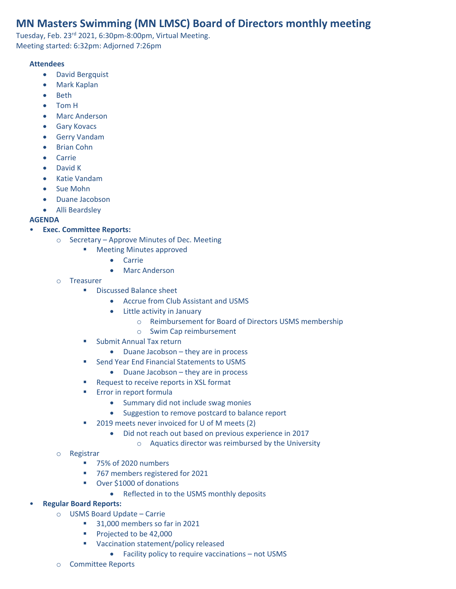# **MN Masters Swimming (MN LMSC) Board of Directors monthly meeting**

Tuesday, Feb. 23rd 2021, 6:30pm-8:00pm, Virtual Meeting. Meeting started: 6:32pm: Adjorned 7:26pm

### **Attendees**

- David Bergquist
- Mark Kaplan
- Beth
- Tom H
- Marc Anderson
- Gary Kovacs
- Gerry Vandam
- Brian Cohn
- Carrie
- David K
- Katie Vandam
- Sue Mohn
- Duane Jacobson
- Alli Beardsley

### **AGENDA**

## • **Exec. Committee Reports:**

- o Secretary Approve Minutes of Dec. Meeting
	- Meeting Minutes approved
		- Carrie
		- Marc Anderson
- o Treasurer
	- Discussed Balance sheet
		- Accrue from Club Assistant and USMS
		- Little activity in January
			- o Reimbursement for Board of Directors USMS membership
			- o Swim Cap reimbursement
	- Submit Annual Tax return
		- Duane Jacobson they are in process
	- Send Year End Financial Statements to USMS
		- Duane Jacobson they are in process
	- Request to receive reports in XSL format
	- **Error in report formula** 
		- Summary did not include swag monies
		- Suggestion to remove postcard to balance report
	- 2019 meets never invoiced for U of M meets (2)
		- Did not reach out based on previous experience in 2017
			- o Aquatics director was reimbursed by the University

### o Registrar

- 75% of 2020 numbers
- 767 members registered for 2021
- Over \$1000 of donations
	- Reflected in to the USMS monthly deposits

### • **Regular Board Reports:**

- o USMS Board Update Carrie
	- 31,000 members so far in 2021
	- Projected to be 42,000
	- Vaccination statement/policy released
		- Facility policy to require vaccinations not USMS
- o Committee Reports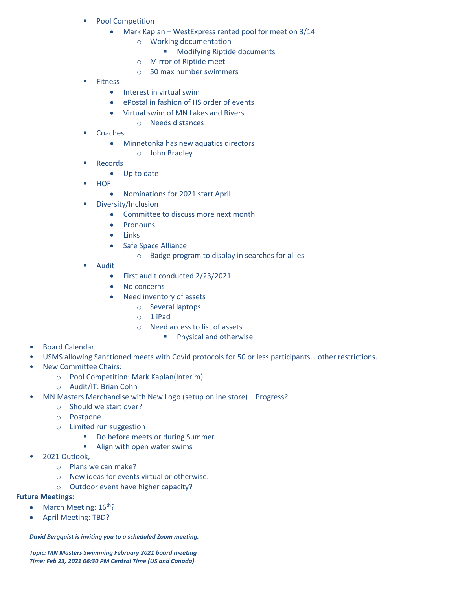- Pool Competition
	- Mark Kaplan WestExpress rented pool for meet on 3/14
		- o Working documentation
			- Modifying Riptide documents
		- o Mirror of Riptide meet
		- o 50 max number swimmers
- Fitness
	- Interest in virtual swim
	- ePostal in fashion of HS order of events
	- Virtual swim of MN Lakes and Rivers
		- o Needs distances
- Coaches
	- Minnetonka has new aquatics directors
		- o John Bradley
- Records
	- Up to date
- HOF
	- Nominations for 2021 start April
- Diversity/Inclusion
	- Committee to discuss more next month
	- **Pronouns**
	- Links
	- Safe Space Alliance
		- o Badge program to display in searches for allies
- Audit
	- First audit conducted 2/23/2021
	- No concerns
	- Need inventory of assets
		- o Several laptops
		- o 1 iPad
		- o Need access to list of assets
			- Physical and otherwise

- Board Calendar
- USMS allowing Sanctioned meets with Covid protocols for 50 or less participants… other restrictions.
- New Committee Chairs:
	- o Pool Competition: Mark Kaplan(Interim)
	- o Audit/IT: Brian Cohn
- MN Masters Merchandise with New Logo (setup online store) Progress?
	- o Should we start over?
	- o Postpone
	- o Limited run suggestion
		- Do before meets or during Summer
		- Align with open water swims
- 2021 Outlook,
	- o Plans we can make?
	- o New ideas for events virtual or otherwise.
	- o Outdoor event have higher capacity?

### **Future Meetings:**

- March Meeting: 16<sup>th</sup>?
- April Meeting: TBD?

#### *David Bergquist is inviting you to a scheduled Zoom meeting.*

*Topic: MN Masters Swimming February 2021 board meeting Time: Feb 23, 2021 06:30 PM Central Time (US and Canada)*